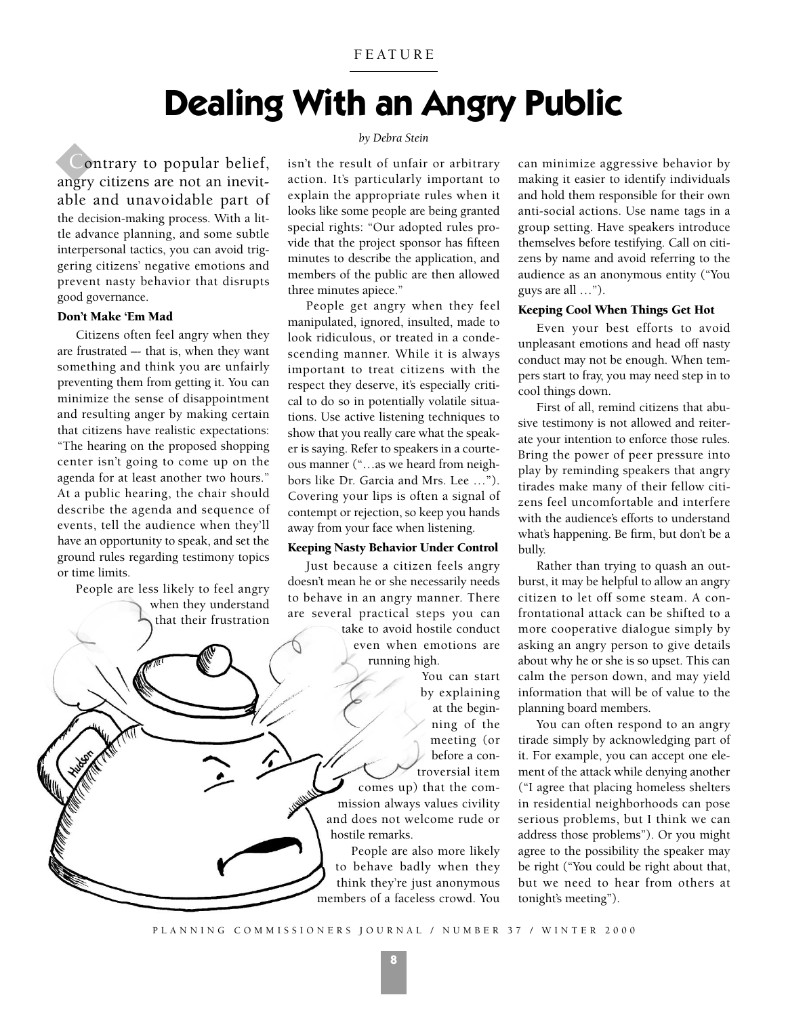# **Dealing With an Angry Public**

Contrary to popular belief, angry citizens are not an inevitable and unavoidable part of the decision-making process. With a little advance planning, and some subtle interpersonal tactics, you can avoid triggering citizens' negative emotions and prevent nasty behavior that disrupts good governance.

# Don't Make 'Em Mad

Citizens often feel angry when they are frustrated –- that is, when they want something and think you are unfairly preventing them from getting it. You can minimize the sense of disappointment and resulting anger by making certain that citizens have realistic expectations: "The hearing on the proposed shopping center isn't going to come up on the agenda for at least another two hours." At a public hearing, the chair should describe the agenda and sequence of events, tell the audience when they'll have an opportunity to speak, and set the ground rules regarding testimony topics or time limits.

People are less likely to feel angry when they understand that their frustration

# *by Debra Stein*

isn't the result of unfair or arbitrary action. It's particularly important to explain the appropriate rules when it looks like some people are being granted special rights: "Our adopted rules provide that the project sponsor has fifteen minutes to describe the application, and members of the public are then allowed three minutes apiece."

People get angry when they feel manipulated, ignored, insulted, made to look ridiculous, or treated in a condescending manner. While it is always important to treat citizens with the respect they deserve, it's especially critical to do so in potentially volatile situations. Use active listening techniques to show that you really care what the speaker is saying. Refer to speakers in a courteous manner ("…as we heard from neighbors like Dr. Garcia and Mrs. Lee …"). Covering your lips is often a signal of contempt or rejection, so keep you hands away from your face when listening.

#### Keeping Nasty Behavior Under Control

Just because a citizen feels angry doesn't mean he or she necessarily needs to behave in an angry manner. There are several practical steps you can take to avoid hostile conduct

even when emotions are running high.

> You can start by explaining at the begin-

> > ning of the meeting (or before a con-

troversial item comes up) that the commission always values civility and does not welcome rude or hostile remarks.

People are also more likely to behave badly when they think they're just anonymous members of a faceless crowd. You

can minimize aggressive behavior by making it easier to identify individuals and hold them responsible for their own anti-social actions. Use name tags in a group setting. Have speakers introduce themselves before testifying. Call on citizens by name and avoid referring to the audience as an anonymous entity ("You guys are all …").

### Keeping Cool When Things Get Hot

Even your best efforts to avoid unpleasant emotions and head off nasty conduct may not be enough. When tempers start to fray, you may need step in to cool things down.

First of all, remind citizens that abusive testimony is not allowed and reiterate your intention to enforce those rules. Bring the power of peer pressure into play by reminding speakers that angry tirades make many of their fellow citizens feel uncomfortable and interfere with the audience's efforts to understand what's happening. Be firm, but don't be a bully.

Rather than trying to quash an outburst, it may be helpful to allow an angry citizen to let off some steam. A confrontational attack can be shifted to a more cooperative dialogue simply by asking an angry person to give details about why he or she is so upset. This can calm the person down, and may yield information that will be of value to the planning board members.

You can often respond to an angry tirade simply by acknowledging part of it. For example, you can accept one element of the attack while denying another ("I agree that placing homeless shelters in residential neighborhoods can pose serious problems, but I think we can address those problems"). Or you might agree to the possibility the speaker may be right ("You could be right about that, but we need to hear from others at tonight's meeting").